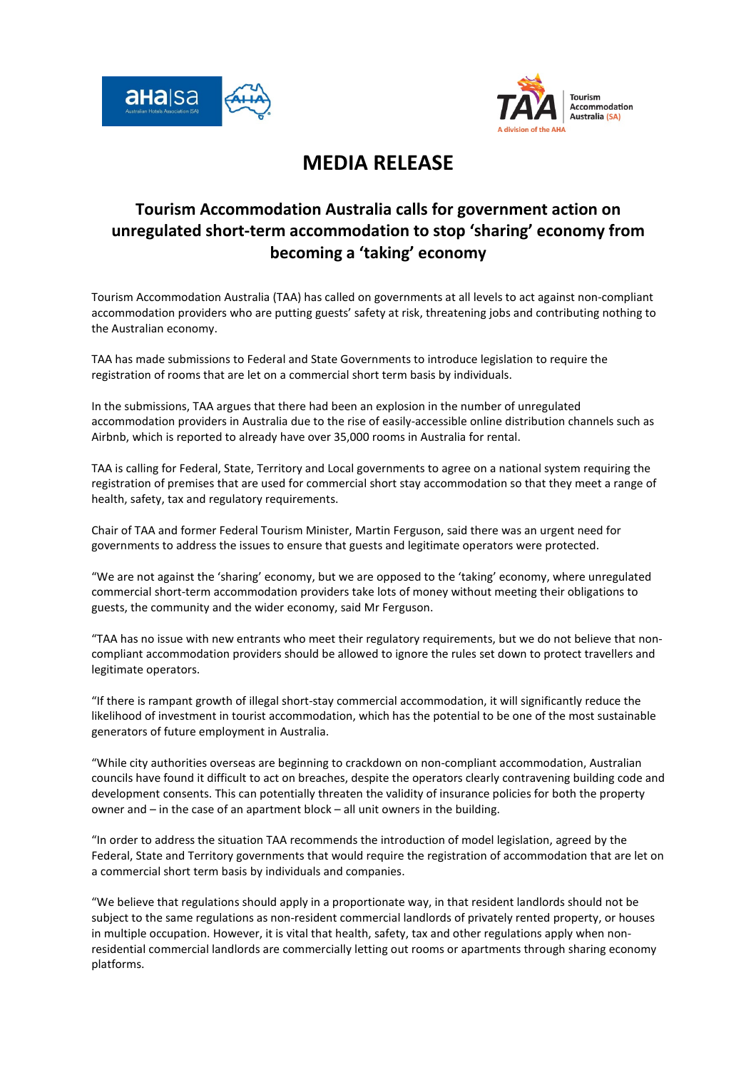



## MEDIA RELEASE

## Tourism Accommodation Australia calls for government action on unregulated short-term accommodation to stop 'sharing' economy from becoming a 'taking' economy

Tourism Accommodation Australia (TAA) has called on governments at all levels to act against non-compliant accommodation providers who are putting guests' safety at risk, threatening jobs and contributing nothing to the Australian economy.

TAA has made submissions to Federal and State Governments to introduce legislation to require the registration of rooms that are let on a commercial short term basis by individuals.

In the submissions, TAA argues that there had been an explosion in the number of unregulated accommodation providers in Australia due to the rise of easily-accessible online distribution channels such as Airbnb, which is reported to already have over 35,000 rooms in Australia for rental.

TAA is calling for Federal, State, Territory and Local governments to agree on a national system requiring the registration of premises that are used for commercial short stay accommodation so that they meet a range of health, safety, tax and regulatory requirements.

Chair of TAA and former Federal Tourism Minister, Martin Ferguson, said there was an urgent need for governments to address the issues to ensure that guests and legitimate operators were protected.

"We are not against the 'sharing' economy, but we are opposed to the 'taking' economy, where unregulated commercial short-term accommodation providers take lots of money without meeting their obligations to guests, the community and the wider economy, said Mr Ferguson.

"TAA has no issue with new entrants who meet their regulatory requirements, but we do not believe that noncompliant accommodation providers should be allowed to ignore the rules set down to protect travellers and legitimate operators.

"If there is rampant growth of illegal short-stay commercial accommodation, it will significantly reduce the likelihood of investment in tourist accommodation, which has the potential to be one of the most sustainable generators of future employment in Australia.

"While city authorities overseas are beginning to crackdown on non-compliant accommodation, Australian councils have found it difficult to act on breaches, despite the operators clearly contravening building code and development consents. This can potentially threaten the validity of insurance policies for both the property owner and – in the case of an apartment block – all unit owners in the building.

"In order to address the situation TAA recommends the introduction of model legislation, agreed by the Federal, State and Territory governments that would require the registration of accommodation that are let on a commercial short term basis by individuals and companies.

"We believe that regulations should apply in a proportionate way, in that resident landlords should not be subject to the same regulations as non-resident commercial landlords of privately rented property, or houses in multiple occupation. However, it is vital that health, safety, tax and other regulations apply when nonresidential commercial landlords are commercially letting out rooms or apartments through sharing economy platforms.